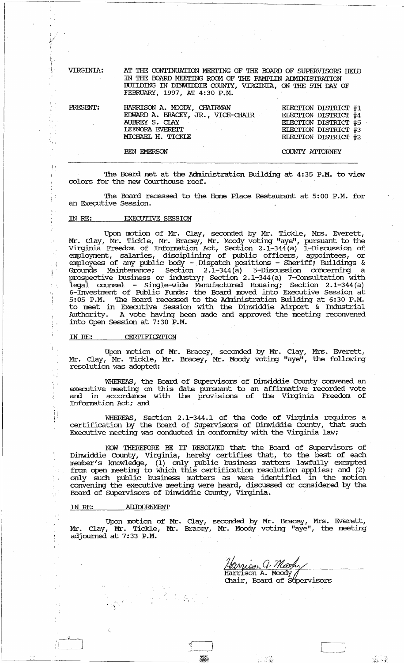VIRGINIA:

l'

 $\mathcal{E}$ 

i. I

'.j , i.

 $\ddot{i}$ 

J.

÷ j

 $\leq$  i

igilia<br>19 ł

乌

÷

AT THE CONTINUATION MEETING OF THE BOARD OF SUPERVISORS HEID IN THE BOARD MEETING ROOM OF THE PAMPLIN ADMINISTRATION BUIIDING IN DINWIDDIE COUNTY, VIRGINIA, ON THE 5TH DAY OF FEBRUARY, 1997, AT 4:30 P.M.

| PRESENT: | HARRISON A. MOODY, CHAIRMAN<br>EDWARD A. BRACEY, JR., VICE-CHAIR<br>AUBREY S. CIAY<br><b>LEENORA EVERETT</b><br>MICHAEL H. TICKLE | ELECTION DISTRICT #1<br>ELECTION DISTRICT #4<br>ELECTION DISTRICT #5<br>ELECTION DISTRICT #3<br>ELECTION DISTRICT #2 |
|----------|-----------------------------------------------------------------------------------------------------------------------------------|----------------------------------------------------------------------------------------------------------------------|
|          | <b>BEN EMERSON</b>                                                                                                                | COUNTY ATTORNEY                                                                                                      |

The Board met at the Administration Building at 4:35 P.M. to view colors for the new Courthouse roof.

The Board recessed to the Home Place Restaurant at 5:00 P.M. for an Executive Session.

## IN RE: EXECUTIVE SESSION

Upon motion of Mr. Clay, seconded by Mr. Tickle, Mrs. Everett, Mr. Clay, Mr. Tickle, Mr. Bracey, Mr. Moody voting "aye", pursuant to the Virginia Freedom of Infonnation Act, Section 2.1-344 (a) 1-Discussion of employment, salaries, disciplining of public officers, appointees, or employees of any public body - Dispatch positions - Sheriff; Buildings & Grounds Maintenance; Section 2.1-344 (a) 5-Discussion concerning a prospective business or industry; Section 2.1-344(a) 7-COnsultation with legal counsel - Single-wide Manufactured Housing; Section 2.1-344 (a) 6-IIWesbnent of Public Funds; the Board moved into Executive Session at 5:05 P.M. The Board recessed to the Administration Building at 6:30 P.M. to meet in Executive Session with the Dinwiddie Airport & Industrial Authority. A vote having been made and approved the meeting reconvened into Open Session at 7:30 P.H.

## IN RE: CERTIFICATION

Upon motion of Mr. Bracey, seconded by Mr. Clay, Mrs. Everett, Mr. Clay, Mr. Tickle, Mr. Bracey, Mr. Moody voting "aye", the following resolution was adopted:

WHEREAS, the Board of Supervisors of Dinwiddie County convened an executive meeting on this date pursuant to an affinnative recorded vote and in accordance with the provisions of the Virginia Freedom of Information Act; and

WHEREAS, Section 2.1-344.1 of the Code of virginia requires a certification by the Board of supervisors of Dinwiddie County, that such Executive meeting was conducted in conformity with the Virginia law;

NOW THEREFORE BE IT RESOLVED that the Board of Supervisors of Dinwiddie county, Virginia, hereby certifies that, to the best of each member's knowledge, (1) only public business matters lawfully exempted from open meeting to which this certification resolution applies; and (2) only such public business matters as were identified in the motion convening the executive meeting were heard, discussed or considered by the Board of supervisors of Dinwiddie COunty, Virginia.

## IN RE: ADJOURNMENT

Upon motion of Mr. Clay, seconded by Mr. Bracey, Mrs. Everett, Mr. Clay, Mr. Tickle, Mr. Bracey, Mr. Moody voting "aye", the meeting adjourned at 7:33 P.M.

Hanison G. *Neoch*<br>Harrison A. Moody

Chair, Board of Supervisors